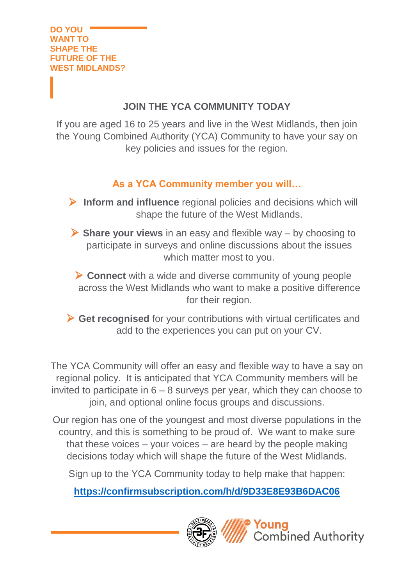# **JOIN THE YCA COMMUNITY TODAY**

If you are aged 16 to 25 years and live in the West Midlands, then join the Young Combined Authority (YCA) Community to have your say on key policies and issues for the region.

# **As a YCA Community member you will…**

➢ **Inform and influence** regional policies and decisions which will shape the future of the West Midlands.

➢ **Share your views** in an easy and flexible way – by choosing to participate in surveys and online discussions about the issues which matter most to you.

➢ **Connect** with a wide and diverse community of young people across the West Midlands who want to make a positive difference for their region.

➢ **Get recognised** for your contributions with virtual certificates and add to the experiences you can put on your CV.

The YCA Community will offer an easy and flexible way to have a say on regional policy. It is anticipated that YCA Community members will be invited to participate in  $6 - 8$  surveys per year, which they can choose to join, and optional online focus groups and discussions.

Our region has one of the youngest and most diverse populations in the country, and this is something to be proud of. We want to make sure that these voices – your voices – are heard by the people making decisions today which will shape the future of the West Midlands.

Sign up to the YCA Community today to help make that happen:

**<https://confirmsubscription.com/h/d/9D33E8E93B6DAC06>**

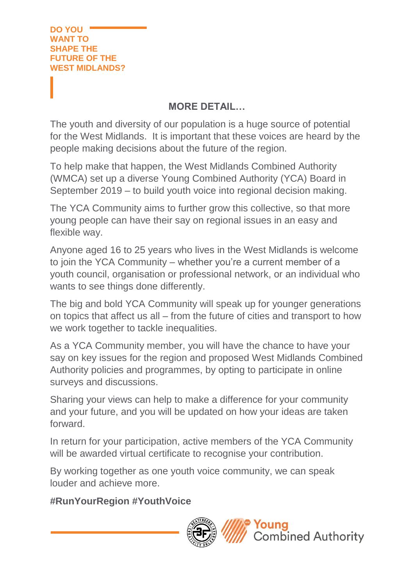## **MORE DETAIL…**

The youth and diversity of our population is a huge source of potential for the West Midlands. It is important that these voices are heard by the people making decisions about the future of the region.

To help make that happen, the West Midlands Combined Authority (WMCA) set up a diverse Young Combined Authority (YCA) Board in September 2019 – to build youth voice into regional decision making.

The YCA Community aims to further grow this collective, so that more young people can have their say on regional issues in an easy and flexible way.

Anyone aged 16 to 25 years who lives in the West Midlands is welcome to join the YCA Community – whether you're a current member of a youth council, organisation or professional network, or an individual who wants to see things done differently.

The big and bold YCA Community will speak up for younger generations on topics that affect us all – from the future of cities and transport to how we work together to tackle inequalities.

As a YCA Community member, you will have the chance to have your say on key issues for the region and proposed West Midlands Combined Authority policies and programmes, by opting to participate in online surveys and discussions.

Sharing your views can help to make a difference for your community and your future, and you will be updated on how your ideas are taken forward.

In return for your participation, active members of the YCA Community will be awarded virtual certificate to recognise your contribution.

By working together as one youth voice community, we can speak louder and achieve more.

## **#RunYourRegion #YouthVoice**